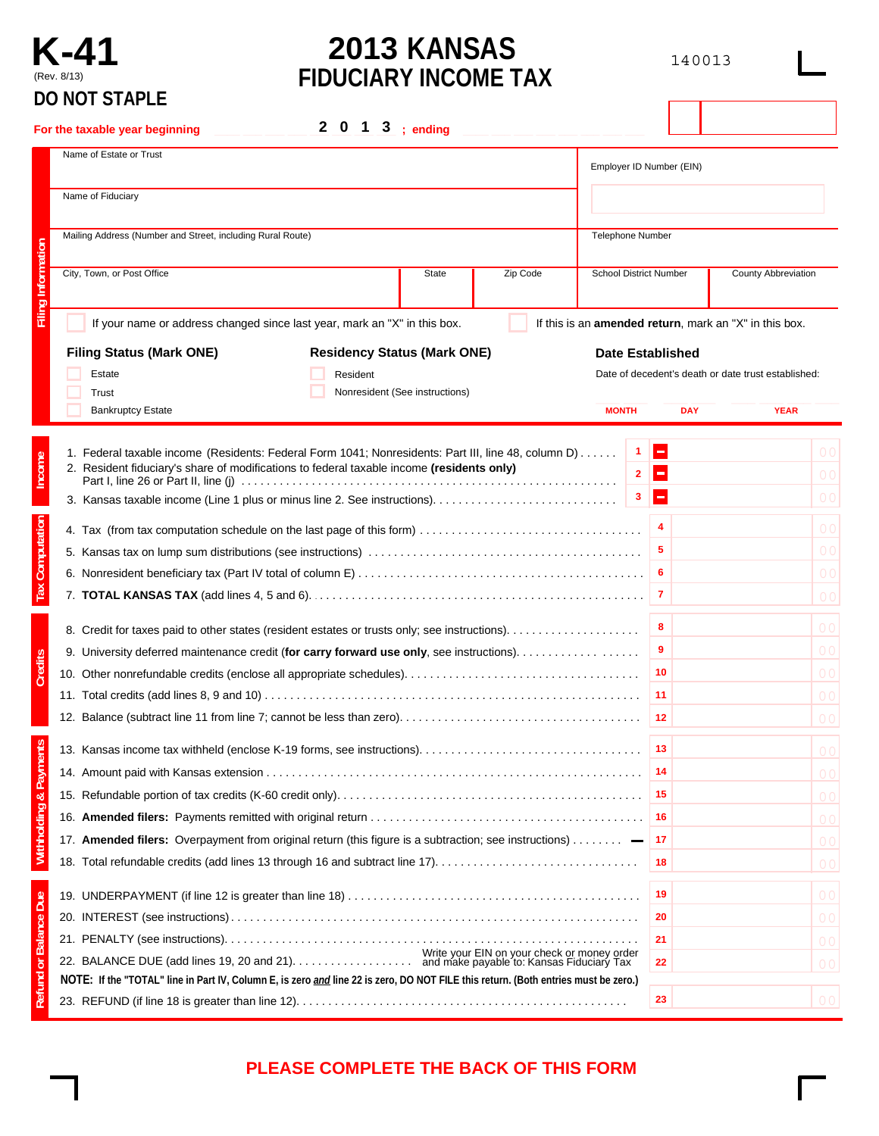## **K-41** (Rev. 8/13) **DO NOT STAPLE**

# **2013 KANSAS FIDUCIARY INCOME TAX**

140013

|                              | UU IVUT JIAPLE                                                                                                                                                                                   |                                     |                          |                                                                |  |
|------------------------------|--------------------------------------------------------------------------------------------------------------------------------------------------------------------------------------------------|-------------------------------------|--------------------------|----------------------------------------------------------------|--|
|                              | 2 0 1 3 ; ending<br>For the taxable year beginning                                                                                                                                               |                                     |                          |                                                                |  |
|                              | Name of Estate or Trust                                                                                                                                                                          | Employer ID Number (EIN)            |                          |                                                                |  |
|                              | Name of Fiduciary                                                                                                                                                                                |                                     |                          |                                                                |  |
|                              | Mailing Address (Number and Street, including Rural Route)                                                                                                                                       |                                     | <b>Telephone Number</b>  |                                                                |  |
| <b>Filing Information</b>    | City, Town, or Post Office<br>Zip Code<br>State                                                                                                                                                  | <b>School District Number</b>       |                          | <b>County Abbreviation</b>                                     |  |
|                              | If your name or address changed since last year, mark an "X" in this box.                                                                                                                        |                                     |                          | If this is an <b>amended return</b> , mark an "X" in this box. |  |
|                              | <b>Filing Status (Mark ONE)</b><br><b>Residency Status (Mark ONE)</b>                                                                                                                            | <b>Date Established</b>             |                          |                                                                |  |
|                              | Estate<br>Resident<br>Nonresident (See instructions)<br>Trust                                                                                                                                    |                                     |                          | Date of decedent's death or date trust established:            |  |
|                              | <b>Bankruptcy Estate</b>                                                                                                                                                                         | <b>MONTH</b>                        | <b>DAY</b>               | <b>YEAR</b>                                                    |  |
| Income                       | 1. Federal taxable income (Residents: Federal Form 1041; Nonresidents: Part III, line 48, column D)<br>2. Resident fiduciary's share of modifications to federal taxable income (residents only) | 1<br>$\overline{2}$<br>$\mathbf{3}$ | H<br>E<br>$\blacksquare$ | O C<br>0 <sup>c</sup>                                          |  |
|                              |                                                                                                                                                                                                  |                                     |                          | 0 <sup>c</sup>                                                 |  |
|                              |                                                                                                                                                                                                  |                                     | 4                        | 0 <sup>o</sup>                                                 |  |
|                              |                                                                                                                                                                                                  |                                     | 5<br>6                   | 0 <sup>o</sup>                                                 |  |
| <b>Tax Computation</b>       |                                                                                                                                                                                                  |                                     |                          | 0 <sup>o</sup><br>0 <sup>o</sup>                               |  |
|                              |                                                                                                                                                                                                  |                                     | 8                        | 0 <sup>c</sup>                                                 |  |
|                              | 9. University deferred maintenance credit (for carry forward use only, see instructions).                                                                                                        |                                     | 9                        | O <sub>C</sub>                                                 |  |
| <b>Credits</b>               |                                                                                                                                                                                                  |                                     | 10                       | 0 <sup>c</sup>                                                 |  |
|                              |                                                                                                                                                                                                  |                                     | 11                       | O <sub>C</sub>                                                 |  |
|                              |                                                                                                                                                                                                  |                                     | 12                       | O <sub>C</sub>                                                 |  |
|                              |                                                                                                                                                                                                  |                                     | 13                       | $\overline{0}$ $\overline{0}$                                  |  |
| <b>Payments</b>              |                                                                                                                                                                                                  |                                     | 14                       | 0 <sup>c</sup>                                                 |  |
|                              |                                                                                                                                                                                                  |                                     | 15                       | 0 <sup>c</sup>                                                 |  |
| Withholding &                |                                                                                                                                                                                                  |                                     | -16                      | 0 <sup>c</sup>                                                 |  |
|                              | 17. Amended filers: Overpayment from original return (this figure is a subtraction; see instructions)                                                                                            |                                     | 17                       | O <sub>C</sub>                                                 |  |
|                              | 18. Total refundable credits (add lines 13 through 16 and subtract line 17)                                                                                                                      |                                     | 18                       | O <sub>C</sub>                                                 |  |
|                              |                                                                                                                                                                                                  |                                     | 19                       | 0 <sup>c</sup>                                                 |  |
|                              |                                                                                                                                                                                                  |                                     | 20                       | 0 <sup>c</sup>                                                 |  |
|                              |                                                                                                                                                                                                  |                                     | 21                       | O <sub>C</sub>                                                 |  |
| <b>Refund or Balance Due</b> | Write your EIN on your check or money order                                                                                                                                                      |                                     | 22                       | 0 <sup>c</sup>                                                 |  |
|                              | NOTE: If the "TOTAL" line in Part IV, Column E, is zero and line 22 is zero, DO NOT FILE this return. (Both entries must be zero.)                                                               |                                     |                          |                                                                |  |
|                              |                                                                                                                                                                                                  | 23                                  | O <sub>C</sub>           |                                                                |  |

### **PLEASE COMPLETE THE BACK OF THIS FORM**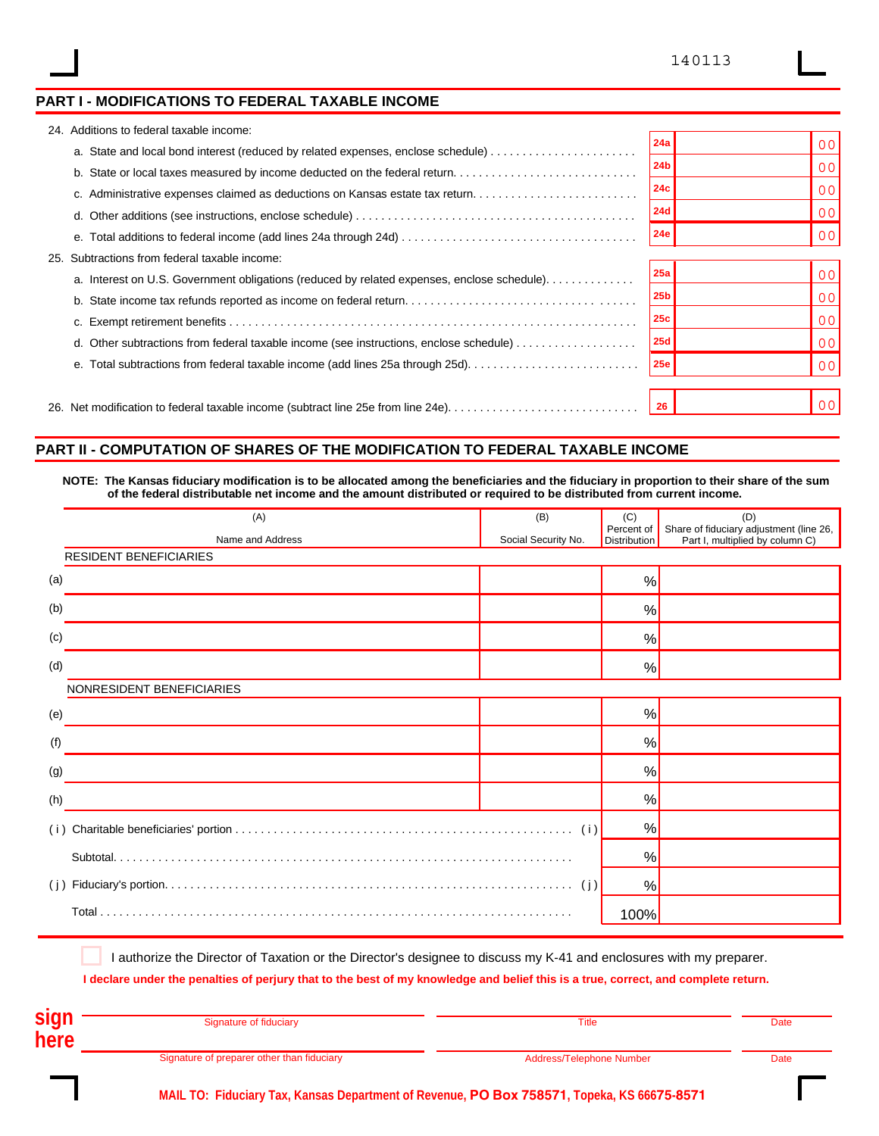### **PART I - MODIFICATIONS TO FEDERAL TAXABLE INCOME**

|     | 24. Additions to federal taxable income:                                                   |                 |                |
|-----|--------------------------------------------------------------------------------------------|-----------------|----------------|
|     | a. State and local bond interest (reduced by related expenses, enclose schedule)           | 24a             | 00             |
|     | b. State or local taxes measured by income deducted on the federal return                  | 24b             | 00             |
|     | c. Administrative expenses claimed as deductions on Kansas estate tax return               | 24c             | 0 <sup>0</sup> |
|     |                                                                                            | 24d             | 00             |
|     |                                                                                            | 24e             | 0 <sup>0</sup> |
| 25. | Subtractions from federal taxable income:                                                  |                 |                |
|     | a. Interest on U.S. Government obligations (reduced by related expenses, enclose schedule) | 25a             | 0 <sub>0</sub> |
|     |                                                                                            | 25 <sub>b</sub> | 00             |
|     |                                                                                            | 25c             | 00             |
|     | d. Other subtractions from federal taxable income (see instructions, enclose schedule)     | 25d             | 0 <sup>0</sup> |
|     |                                                                                            | 25e             | 0 <sup>0</sup> |
|     |                                                                                            |                 |                |
|     | 26. Net modification to federal taxable income (subtract line 25e from line 24e)           | 26              | 0 <sup>0</sup> |
|     |                                                                                            |                 |                |

#### **PART II - COMPUTATION OF SHARES OF THE MODIFICATION TO FEDERAL TAXABLE INCOME**

**NOTE: The Kansas fiduciary modification is to be allocated among the beneficiaries and the fiduciary in proportion to their share of the sum of the federal distributable net income and the amount distributed or required to be distributed from current income.**

| (A)                           | (B)                 | (C)                               | (D)                                                                        |
|-------------------------------|---------------------|-----------------------------------|----------------------------------------------------------------------------|
| Name and Address              | Social Security No. | Percent of<br><b>Distribution</b> | Share of fiduciary adjustment (line 26,<br>Part I, multiplied by column C) |
| <b>RESIDENT BENEFICIARIES</b> |                     |                                   |                                                                            |
| (a)                           |                     | %                                 |                                                                            |
| (b)                           |                     | %                                 |                                                                            |
| (c)                           |                     | %                                 |                                                                            |
| (d)                           |                     | %                                 |                                                                            |
| NONRESIDENT BENEFICIARIES     |                     |                                   |                                                                            |
| (e)                           |                     | $\frac{0}{0}$                     |                                                                            |
| (f)                           |                     | %                                 |                                                                            |
| (g)                           |                     | %                                 |                                                                            |
| (h)                           |                     | %                                 |                                                                            |
| (i)                           |                     | %                                 |                                                                            |
|                               |                     | %                                 |                                                                            |
|                               |                     | %                                 |                                                                            |
|                               |                     | 100%                              |                                                                            |

I authorize the Director of Taxation or the Director's designee to discuss my K-41 and enclosures with my preparer.

**I declare under the penalties of perjury that to the best of my knowledge and belief this is a true, correct, and complete return.**

| <b>sign</b> | Signature of fiduciary                     | Title                    | Date |
|-------------|--------------------------------------------|--------------------------|------|
| here        |                                            |                          |      |
|             | Signature of preparer other than fiduciary | Address/Telephone Number | Date |

**MAIL TO: Fiduciary Tax, Kansas Department of Revenue, PO Box 758571, Topeka, KS 66675-8571**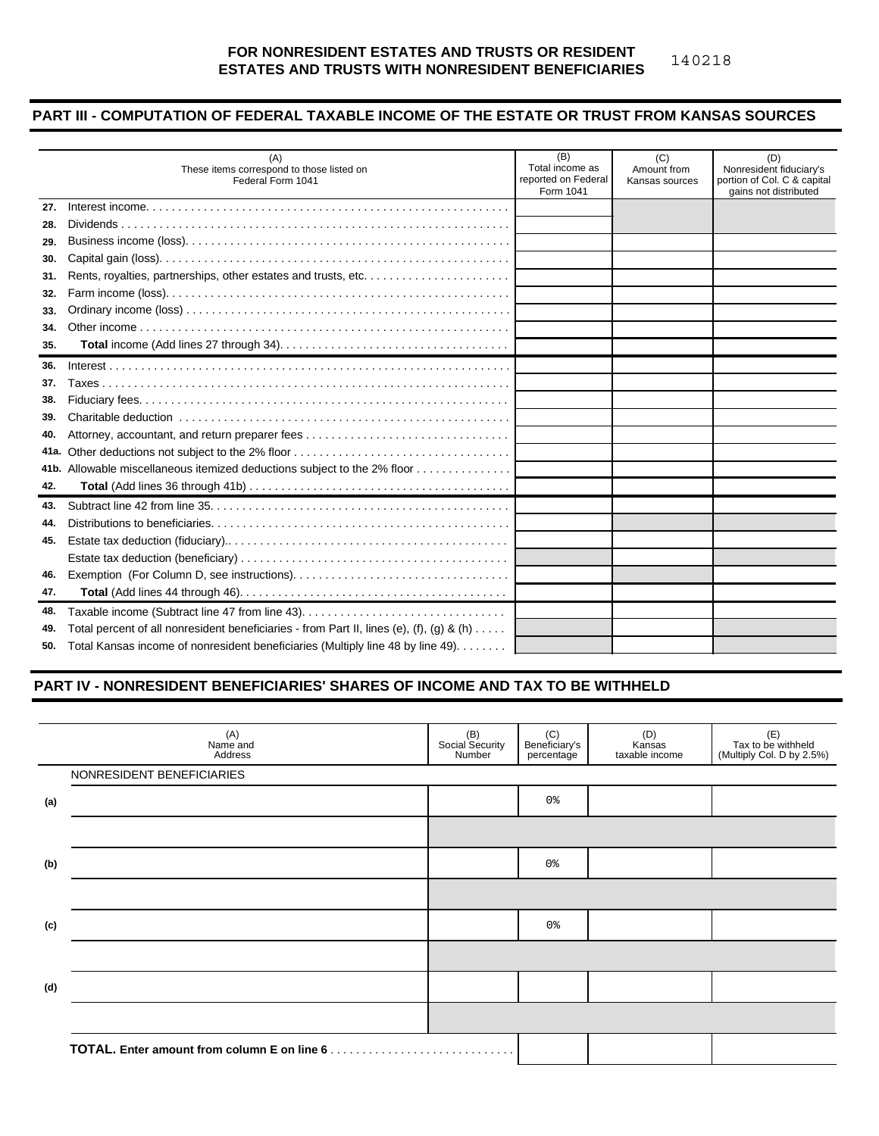#### **FOR NONRESIDENT ESTATES AND TRUSTS OR RESIDENT ESTATES AND TRUSTS WITH NONRESIDENT BENEFICIARIES** 140218

#### **PART III - COMPUTATION OF FEDERAL TAXABLE INCOME OF THE ESTATE OR TRUST FROM KANSAS SOURCES**

|      | (A)<br>These items correspond to those listed on<br>Federal Form 1041                    | (B)<br>Total income as<br>reported on Federal<br>Form 1041 | (C)<br>Amount from<br>Kansas sources | (D)<br>Nonresident fiduciary's<br>portion of Col. C & capital<br>gains not distributed |
|------|------------------------------------------------------------------------------------------|------------------------------------------------------------|--------------------------------------|----------------------------------------------------------------------------------------|
| 27.  |                                                                                          |                                                            |                                      |                                                                                        |
| 28.  |                                                                                          |                                                            |                                      |                                                                                        |
| 29.  |                                                                                          |                                                            |                                      |                                                                                        |
| 30.  |                                                                                          |                                                            |                                      |                                                                                        |
| 31.  |                                                                                          |                                                            |                                      |                                                                                        |
| 32.  |                                                                                          |                                                            |                                      |                                                                                        |
| 33.  |                                                                                          |                                                            |                                      |                                                                                        |
| 34.  |                                                                                          |                                                            |                                      |                                                                                        |
| 35.  |                                                                                          |                                                            |                                      |                                                                                        |
| 36.  |                                                                                          |                                                            |                                      |                                                                                        |
| 37.  |                                                                                          |                                                            |                                      |                                                                                        |
| 38.  |                                                                                          |                                                            |                                      |                                                                                        |
| 39.  |                                                                                          |                                                            |                                      |                                                                                        |
| 40.  |                                                                                          |                                                            |                                      |                                                                                        |
| 41a. |                                                                                          |                                                            |                                      |                                                                                        |
|      | 41b. Allowable miscellaneous itemized deductions subject to the 2% floor                 |                                                            |                                      |                                                                                        |
| 42.  |                                                                                          |                                                            |                                      |                                                                                        |
| 43.  |                                                                                          |                                                            |                                      |                                                                                        |
| 44.  |                                                                                          |                                                            |                                      |                                                                                        |
| 45.  |                                                                                          |                                                            |                                      |                                                                                        |
|      |                                                                                          |                                                            |                                      |                                                                                        |
| 46.  |                                                                                          |                                                            |                                      |                                                                                        |
| 47.  |                                                                                          |                                                            |                                      |                                                                                        |
| 48.  | Taxable income (Subtract line 47 from line 43)                                           |                                                            |                                      |                                                                                        |
| 49.  | Total percent of all nonresident beneficiaries - from Part II, lines (e), (f), (g) & (h) |                                                            |                                      |                                                                                        |
|      | 50. Total Kansas income of nonresident beneficiaries (Multiply line 48 by line 49).      |                                                            |                                      |                                                                                        |

#### **PART IV - NONRESIDENT BENEFICIARIES' SHARES OF INCOME AND TAX TO BE WITHHELD**

| (B)<br>Social Security<br>Number | (C)<br>Beneficiary's<br>percentage | (D)<br>Kansas<br>taxable income | (E)<br>Tax to be withheld<br>(Multiply Col. D by 2.5%) |
|----------------------------------|------------------------------------|---------------------------------|--------------------------------------------------------|
|                                  |                                    |                                 |                                                        |
|                                  | 0 <sup>°</sup>                     |                                 |                                                        |
|                                  |                                    |                                 |                                                        |
|                                  | 0 %                                |                                 |                                                        |
|                                  |                                    |                                 |                                                        |
|                                  | 0 <sup>°</sup>                     |                                 |                                                        |
|                                  |                                    |                                 |                                                        |
|                                  |                                    |                                 |                                                        |
|                                  |                                    |                                 |                                                        |
|                                  |                                    |                                 |                                                        |
|                                  |                                    |                                 |                                                        |